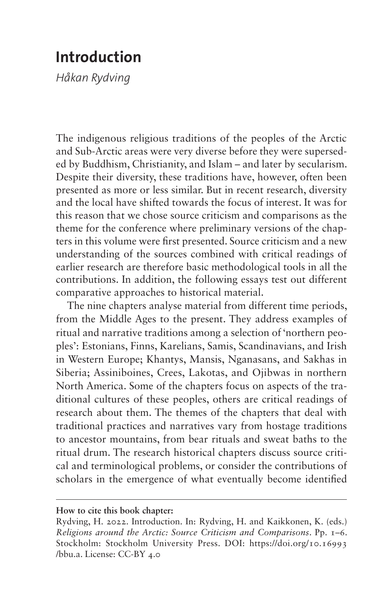## **Introduction**

*Håkan Rydving*

The indigenous religious traditions of the peoples of the Arctic and Sub-Arctic areas were very diverse before they were superseded by Buddhism, Christianity, and Islam – and later by secularism. Despite their diversity, these traditions have, however, often been presented as more or less similar. But in recent research, diversity and the local have shifted towards the focus of interest. It was for this reason that we chose source criticism and comparisons as the theme for the conference where preliminary versions of the chapters in this volume were first presented. Source criticism and a new understanding of the sources combined with critical readings of earlier research are therefore basic methodological tools in all the contributions. In addition, the following essays test out different comparative approaches to historical material.

The nine chapters analyse material from different time periods, from the Middle Ages to the present. They address examples of ritual and narrative traditions among a selection of 'northern peoples': Estonians, Finns, Karelians, Samis, Scandinavians, and Irish in Western Europe; Khantys, Mansis, Nganasans, and Sakhas in Siberia; Assiniboines, Crees, Lakotas, and Ojibwas in northern North America. Some of the chapters focus on aspects of the traditional cultures of these peoples, others are critical readings of research about them. The themes of the chapters that deal with traditional practices and narratives vary from hostage traditions to ancestor mountains, from bear rituals and sweat baths to the ritual drum. The research historical chapters discuss source critical and terminological problems, or consider the contributions of scholars in the emergence of what eventually become identified

## **How to cite this book chapter:**

Rydving, H. 2022. Introduction. In: Rydving, H. and Kaikkonen, K. (eds.) *Religions around the Arctic: Source Criticism and Comparisons*. Pp. 1–6. Stockholm: Stockholm University Press. DOI: [https://doi.org/10.16993](https://doi.org/10.16993/bbu.a) [/bbu.a](https://doi.org/10.16993/bbu.a). License: CC-BY 4.0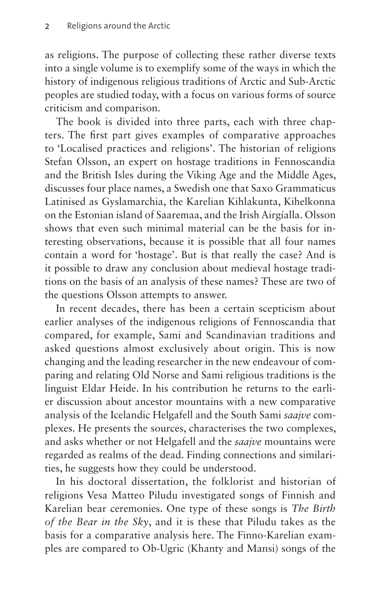as religions. The purpose of collecting these rather diverse texts into a single volume is to exemplify some of the ways in which the history of indigenous religious traditions of Arctic and Sub-Arctic peoples are studied today, with a focus on various forms of source criticism and comparison.

The book is divided into three parts, each with three chapters. The first part gives examples of comparative approaches to 'Localised practices and religions'. The historian of religions Stefan Olsson, an expert on hostage traditions in Fennoscandia and the British Isles during the Viking Age and the Middle Ages, discusses four place names, a Swedish one that Saxo Grammaticus Latinised as Gyslamarchia, the Karelian Kihlakunta, Kihelkonna on the Estonian island of Saaremaa, and the Irish Airgíalla. Olsson shows that even such minimal material can be the basis for interesting observations, because it is possible that all four names contain a word for 'hostage'. But is that really the case? And is it possible to draw any conclusion about medieval hostage traditions on the basis of an analysis of these names? These are two of the questions Olsson attempts to answer.

In recent decades, there has been a certain scepticism about earlier analyses of the indigenous religions of Fennoscandia that compared, for example, Sami and Scandinavian traditions and asked questions almost exclusively about origin. This is now changing and the leading researcher in the new endeavour of comparing and relating Old Norse and Sami religious traditions is the linguist Eldar Heide. In his contribution he returns to the earlier discussion about ancestor mountains with a new comparative analysis of the Icelandic Helgafell and the South Sami *saajve* complexes. He presents the sources, characterises the two complexes, and asks whether or not Helgafell and the *saajve* mountains were regarded as realms of the dead. Finding connections and similarities, he suggests how they could be understood.

In his doctoral dissertation, the folklorist and historian of religions Vesa Matteo Piludu investigated songs of Finnish and Karelian bear ceremonies. One type of these songs is *The Birth of the Bear in the Sky*, and it is these that Piludu takes as the basis for a comparative analysis here. The Finno-Karelian examples are compared to Ob-Ugric (Khanty and Mansi) songs of the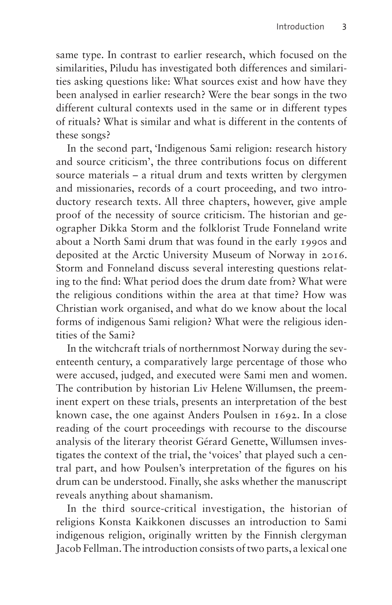same type. In contrast to earlier research, which focused on the similarities, Piludu has investigated both differences and similarities asking questions like: What sources exist and how have they been analysed in earlier research? Were the bear songs in the two different cultural contexts used in the same or in different types of rituals? What is similar and what is different in the contents of these songs?

In the second part, 'Indigenous Sami religion: research history and source criticism', the three contributions focus on different source materials – a ritual drum and texts written by clergymen and missionaries, records of a court proceeding, and two introductory research texts. All three chapters, however, give ample proof of the necessity of source criticism. The historian and geographer Dikka Storm and the folklorist Trude Fonneland write about a North Sami drum that was found in the early 1990s and deposited at the Arctic University Museum of Norway in 2016. Storm and Fonneland discuss several interesting questions relating to the find: What period does the drum date from? What were the religious conditions within the area at that time? How was Christian work organised, and what do we know about the local forms of indigenous Sami religion? What were the religious identities of the Sami?

In the witchcraft trials of northernmost Norway during the seventeenth century, a comparatively large percentage of those who were accused, judged, and executed were Sami men and women. The contribution by historian Liv Helene Willumsen, the preeminent expert on these trials, presents an interpretation of the best known case, the one against Anders Poulsen in 1692. In a close reading of the court proceedings with recourse to the discourse analysis of the literary theorist Gérard Genette, Willumsen investigates the context of the trial, the 'voices' that played such a central part, and how Poulsen's interpretation of the figures on his drum can be understood. Finally, she asks whether the manuscript reveals anything about shamanism.

In the third source-critical investigation, the historian of religions Konsta Kaikkonen discusses an introduction to Sami indigenous religion, originally written by the Finnish clergyman Jacob Fellman. The introduction consists of two parts, a lexical one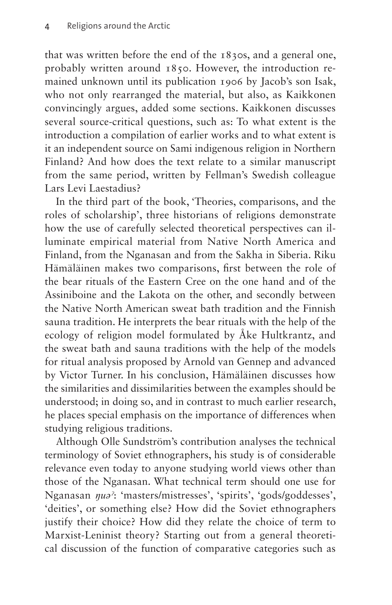that was written before the end of the 1830s, and a general one, probably written around 1850. However, the introduction remained unknown until its publication 1906 by Jacob's son Isak, who not only rearranged the material, but also, as Kaikkonen convincingly argues, added some sections. Kaikkonen discusses several source-critical questions, such as: To what extent is the introduction a compilation of earlier works and to what extent is it an independent source on Sami indigenous religion in Northern Finland? And how does the text relate to a similar manuscript from the same period, written by Fellman's Swedish colleague Lars Levi Laestadius?

In the third part of the book, 'Theories, comparisons, and the roles of scholarship', three historians of religions demonstrate how the use of carefully selected theoretical perspectives can illuminate empirical material from Native North America and Finland, from the Nganasan and from the Sakha in Siberia. Riku Hämäläinen makes two comparisons, first between the role of the bear rituals of the Eastern Cree on the one hand and of the Assiniboine and the Lakota on the other, and secondly between the Native North American sweat bath tradition and the Finnish sauna tradition. He interprets the bear rituals with the help of the ecology of religion model formulated by Åke Hultkrantz, and the sweat bath and sauna traditions with the help of the models for ritual analysis proposed by Arnold van Gennep and advanced by Victor Turner. In his conclusion, Hämäläinen discusses how the similarities and dissimilarities between the examples should be understood; in doing so, and in contrast to much earlier research, he places special emphasis on the importance of differences when studying religious traditions.

Although Olle Sundström's contribution analyses the technical terminology of Soviet ethnographers, his study is of considerable relevance even today to anyone studying world views other than those of the Nganasan. What technical term should one use for Nganasan *ŋuəˀ*: 'masters/mistresses', 'spirits', 'gods/goddesses', 'deities', or something else? How did the Soviet ethnographers justify their choice? How did they relate the choice of term to Marxist-Leninist theory? Starting out from a general theoretical discussion of the function of comparative categories such as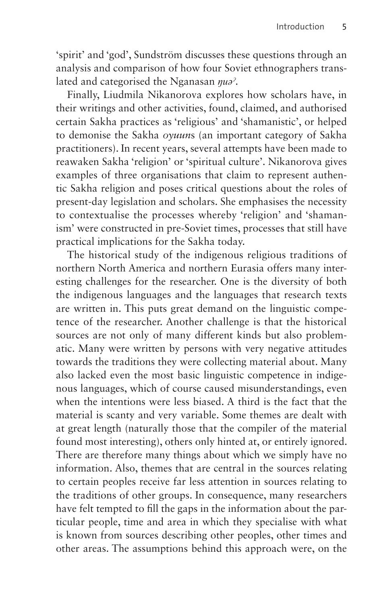'spirit' and 'god', Sundström discusses these questions through an analysis and comparison of how four Soviet ethnographers translated and categorised the Nganasan *ŋuəˀ*.

Finally, Liudmila Nikanorova explores how scholars have, in their writings and other activities, found, claimed, and authorised certain Sakha practices as 'religious' and 'shamanistic', or helped to demonise the Sakha *oyuun*s (an important category of Sakha practitioners). In recent years, several attempts have been made to reawaken Sakha 'religion' or 'spiritual culture'. Nikanorova gives examples of three organisations that claim to represent authentic Sakha religion and poses critical questions about the roles of present-day legislation and scholars. She emphasises the necessity to contextualise the processes whereby 'religion' and 'shamanism' were constructed in pre-Soviet times, processes that still have practical implications for the Sakha today.

The historical study of the indigenous religious traditions of northern North America and northern Eurasia offers many interesting challenges for the researcher. One is the diversity of both the indigenous languages and the languages that research texts are written in. This puts great demand on the linguistic competence of the researcher. Another challenge is that the historical sources are not only of many different kinds but also problematic. Many were written by persons with very negative attitudes towards the traditions they were collecting material about. Many also lacked even the most basic linguistic competence in indigenous languages, which of course caused misunderstandings, even when the intentions were less biased. A third is the fact that the material is scanty and very variable. Some themes are dealt with at great length (naturally those that the compiler of the material found most interesting), others only hinted at, or entirely ignored. There are therefore many things about which we simply have no information. Also, themes that are central in the sources relating to certain peoples receive far less attention in sources relating to the traditions of other groups. In consequence, many researchers have felt tempted to fill the gaps in the information about the particular people, time and area in which they specialise with what is known from sources describing other peoples, other times and other areas. The assumptions behind this approach were, on the